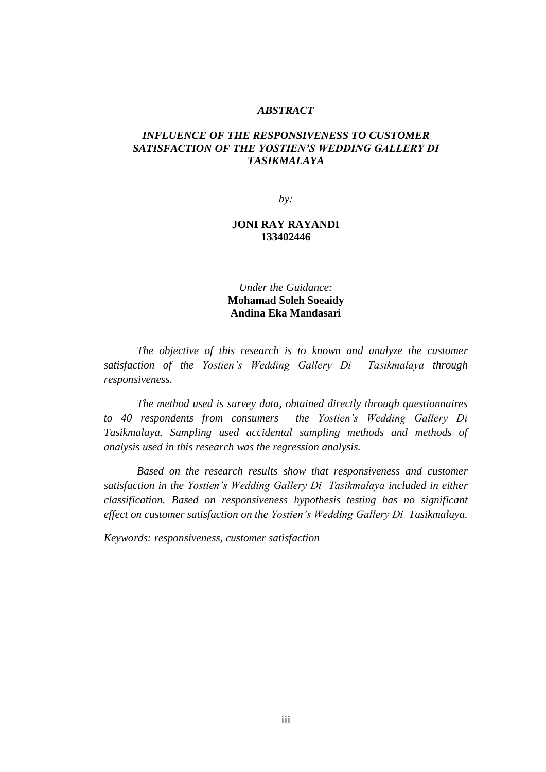#### *ABSTRACT*

# *INFLUENCE OF THE RESPONSIVENESS TO CUSTOMER SATISFACTION OF THE YOSTIEN'S WEDDING GALLERY DI TASIKMALAYA*

*by:*

### **JONI RAY RAYANDI 133402446**

*Under the Guidance:* **Mohamad Soleh Soeaidy Andina Eka Mandasari**

*The objective of this research is to known and analyze the customer satisfaction of the Yostien's Wedding Gallery Di Tasikmalaya through responsiveness.*

*The method used is survey data, obtained directly through questionnaires to 40 respondents from consumers the Yostien's Wedding Gallery Di Tasikmalaya. Sampling used accidental sampling methods and methods of analysis used in this research was the regression analysis.*

*Based on the research results show that responsiveness and customer satisfaction in the Yostien's Wedding Gallery Di Tasikmalaya included in either classification. Based on responsiveness hypothesis testing has no significant effect on customer satisfaction on the Yostien's Wedding Gallery Di Tasikmalaya.*

*Keywords: responsiveness, customer satisfaction*

iii